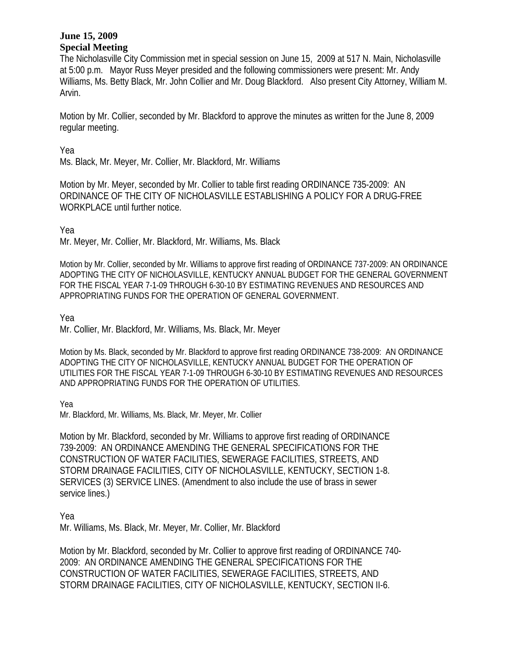The Nicholasville City Commission met in special session on June 15, 2009 at 517 N. Main, Nicholasville at 5:00 p.m. Mayor Russ Meyer presided and the following commissioners were present: Mr. Andy Williams, Ms. Betty Black, Mr. John Collier and Mr. Doug Blackford. Also present City Attorney, William M. Arvin.

Motion by Mr. Collier, seconded by Mr. Blackford to approve the minutes as written for the June 8, 2009 regular meeting.

Yea

Ms. Black, Mr. Meyer, Mr. Collier, Mr. Blackford, Mr. Williams

Motion by Mr. Meyer, seconded by Mr. Collier to table first reading ORDINANCE 735-2009: AN ORDINANCE OF THE CITY OF NICHOLASVILLE ESTABLISHING A POLICY FOR A DRUG-FREE WORKPLACE until further notice.

Yea

Mr. Meyer, Mr. Collier, Mr. Blackford, Mr. Williams, Ms. Black

Motion by Mr. Collier, seconded by Mr. Williams to approve first reading of ORDINANCE 737-2009: AN ORDINANCE ADOPTING THE CITY OF NICHOLASVILLE, KENTUCKY ANNUAL BUDGET FOR THE GENERAL GOVERNMENT FOR THE FISCAL YEAR 7-1-09 THROUGH 6-30-10 BY ESTIMATING REVENUES AND RESOURCES AND APPROPRIATING FUNDS FOR THE OPERATION OF GENERAL GOVERNMENT.

Yea

Mr. Collier, Mr. Blackford, Mr. Williams, Ms. Black, Mr. Meyer

Motion by Ms. Black, seconded by Mr. Blackford to approve first reading ORDINANCE 738-2009: AN ORDINANCE ADOPTING THE CITY OF NICHOLASVILLE, KENTUCKY ANNUAL BUDGET FOR THE OPERATION OF UTILITIES FOR THE FISCAL YEAR 7-1-09 THROUGH 6-30-10 BY ESTIMATING REVENUES AND RESOURCES AND APPROPRIATING FUNDS FOR THE OPERATION OF UTILITIES.

Yea

Mr. Blackford, Mr. Williams, Ms. Black, Mr. Meyer, Mr. Collier

Motion by Mr. Blackford, seconded by Mr. Williams to approve first reading of ORDINANCE 739-2009: AN ORDINANCE AMENDING THE GENERAL SPECIFICATIONS FOR THE CONSTRUCTION OF WATER FACILITIES, SEWERAGE FACILITIES, STREETS, AND STORM DRAINAGE FACILITIES, CITY OF NICHOLASVILLE, KENTUCKY, SECTION 1-8. SERVICES (3) SERVICE LINES. (Amendment to also include the use of brass in sewer service lines.)

Yea

Mr. Williams, Ms. Black, Mr. Meyer, Mr. Collier, Mr. Blackford

Motion by Mr. Blackford, seconded by Mr. Collier to approve first reading of ORDINANCE 740- 2009: AN ORDINANCE AMENDING THE GENERAL SPECIFICATIONS FOR THE CONSTRUCTION OF WATER FACILITIES, SEWERAGE FACILITIES, STREETS, AND STORM DRAINAGE FACILITIES, CITY OF NICHOLASVILLE, KENTUCKY, SECTION II-6.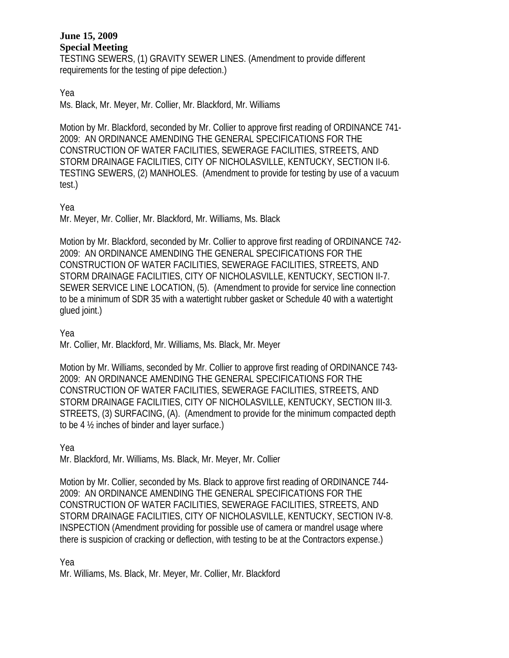TESTING SEWERS, (1) GRAVITY SEWER LINES. (Amendment to provide different requirements for the testing of pipe defection.)

Yea

Ms. Black, Mr. Meyer, Mr. Collier, Mr. Blackford, Mr. Williams

Motion by Mr. Blackford, seconded by Mr. Collier to approve first reading of ORDINANCE 741- 2009: AN ORDINANCE AMENDING THE GENERAL SPECIFICATIONS FOR THE CONSTRUCTION OF WATER FACILITIES, SEWERAGE FACILITIES, STREETS, AND STORM DRAINAGE FACILITIES, CITY OF NICHOLASVILLE, KENTUCKY, SECTION II-6. TESTING SEWERS, (2) MANHOLES. (Amendment to provide for testing by use of a vacuum test.)

# Yea

Mr. Meyer, Mr. Collier, Mr. Blackford, Mr. Williams, Ms. Black

Motion by Mr. Blackford, seconded by Mr. Collier to approve first reading of ORDINANCE 742- 2009: AN ORDINANCE AMENDING THE GENERAL SPECIFICATIONS FOR THE CONSTRUCTION OF WATER FACILITIES, SEWERAGE FACILITIES, STREETS, AND STORM DRAINAGE FACILITIES, CITY OF NICHOLASVILLE, KENTUCKY, SECTION II-7. SEWER SERVICE LINE LOCATION, (5). (Amendment to provide for service line connection to be a minimum of SDR 35 with a watertight rubber gasket or Schedule 40 with a watertight glued joint.)

Yea

Mr. Collier, Mr. Blackford, Mr. Williams, Ms. Black, Mr. Meyer

Motion by Mr. Williams, seconded by Mr. Collier to approve first reading of ORDINANCE 743- 2009: AN ORDINANCE AMENDING THE GENERAL SPECIFICATIONS FOR THE CONSTRUCTION OF WATER FACILITIES, SEWERAGE FACILITIES, STREETS, AND STORM DRAINAGE FACILITIES, CITY OF NICHOLASVILLE, KENTUCKY, SECTION III-3. STREETS, (3) SURFACING, (A). (Amendment to provide for the minimum compacted depth to be 4 ½ inches of binder and layer surface.)

Yea

Mr. Blackford, Mr. Williams, Ms. Black, Mr. Meyer, Mr. Collier

Motion by Mr. Collier, seconded by Ms. Black to approve first reading of ORDINANCE 744- 2009: AN ORDINANCE AMENDING THE GENERAL SPECIFICATIONS FOR THE CONSTRUCTION OF WATER FACILITIES, SEWERAGE FACILITIES, STREETS, AND STORM DRAINAGE FACILITIES, CITY OF NICHOLASVILLE, KENTUCKY, SECTION IV-8. INSPECTION (Amendment providing for possible use of camera or mandrel usage where there is suspicion of cracking or deflection, with testing to be at the Contractors expense.)

# Yea

Mr. Williams, Ms. Black, Mr. Meyer, Mr. Collier, Mr. Blackford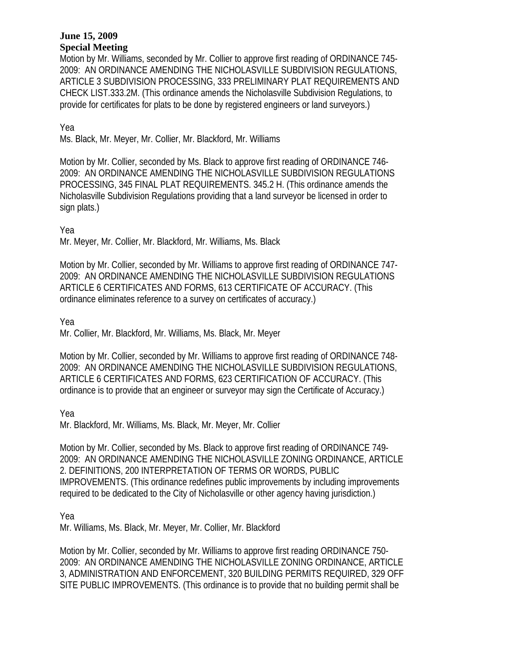Motion by Mr. Williams, seconded by Mr. Collier to approve first reading of ORDINANCE 745- 2009: AN ORDINANCE AMENDING THE NICHOLASVILLE SUBDIVISION REGULATIONS, ARTICLE 3 SUBDIVISION PROCESSING, 333 PRELIMINARY PLAT REQUIREMENTS AND CHECK LIST.333.2M. (This ordinance amends the Nicholasville Subdivision Regulations, to provide for certificates for plats to be done by registered engineers or land surveyors.)

Yea

Ms. Black, Mr. Meyer, Mr. Collier, Mr. Blackford, Mr. Williams

Motion by Mr. Collier, seconded by Ms. Black to approve first reading of ORDINANCE 746- 2009: AN ORDINANCE AMENDING THE NICHOLASVILLE SUBDIVISION REGULATIONS PROCESSING, 345 FINAL PLAT REQUIREMENTS. 345.2 H. (This ordinance amends the Nicholasville Subdivision Regulations providing that a land surveyor be licensed in order to sign plats.)

Yea

Mr. Meyer, Mr. Collier, Mr. Blackford, Mr. Williams, Ms. Black

Motion by Mr. Collier, seconded by Mr. Williams to approve first reading of ORDINANCE 747- 2009: AN ORDINANCE AMENDING THE NICHOLASVILLE SUBDIVISION REGULATIONS ARTICLE 6 CERTIFICATES AND FORMS, 613 CERTIFICATE OF ACCURACY. (This ordinance eliminates reference to a survey on certificates of accuracy.)

Yea

Mr. Collier, Mr. Blackford, Mr. Williams, Ms. Black, Mr. Meyer

Motion by Mr. Collier, seconded by Mr. Williams to approve first reading of ORDINANCE 748- 2009: AN ORDINANCE AMENDING THE NICHOLASVILLE SUBDIVISION REGULATIONS, ARTICLE 6 CERTIFICATES AND FORMS, 623 CERTIFICATION OF ACCURACY. (This ordinance is to provide that an engineer or surveyor may sign the Certificate of Accuracy.)

Yea

Mr. Blackford, Mr. Williams, Ms. Black, Mr. Meyer, Mr. Collier

Motion by Mr. Collier, seconded by Ms. Black to approve first reading of ORDINANCE 749- 2009: AN ORDINANCE AMENDING THE NICHOLASVILLE ZONING ORDINANCE, ARTICLE 2. DEFINITIONS, 200 INTERPRETATION OF TERMS OR WORDS, PUBLIC IMPROVEMENTS. (This ordinance redefines public improvements by including improvements required to be dedicated to the City of Nicholasville or other agency having jurisdiction.)

Yea

Mr. Williams, Ms. Black, Mr. Meyer, Mr. Collier, Mr. Blackford

Motion by Mr. Collier, seconded by Mr. Williams to approve first reading ORDINANCE 750- 2009: AN ORDINANCE AMENDING THE NICHOLASVILLE ZONING ORDINANCE, ARTICLE 3, ADMINISTRATION AND ENFORCEMENT, 320 BUILDING PERMITS REQUIRED, 329 OFF SITE PUBLIC IMPROVEMENTS. (This ordinance is to provide that no building permit shall be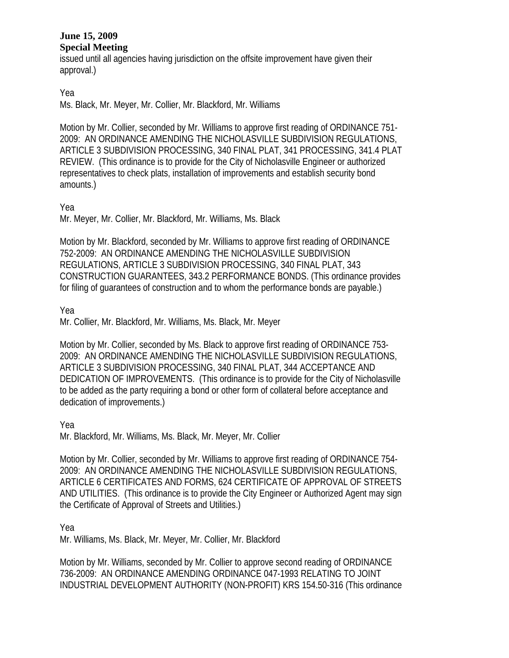issued until all agencies having jurisdiction on the offsite improvement have given their approval.)

Yea

Ms. Black, Mr. Meyer, Mr. Collier, Mr. Blackford, Mr. Williams

Motion by Mr. Collier, seconded by Mr. Williams to approve first reading of ORDINANCE 751- 2009: AN ORDINANCE AMENDING THE NICHOLASVILLE SUBDIVISION REGULATIONS, ARTICLE 3 SUBDIVISION PROCESSING, 340 FINAL PLAT, 341 PROCESSING, 341.4 PLAT REVIEW. (This ordinance is to provide for the City of Nicholasville Engineer or authorized representatives to check plats, installation of improvements and establish security bond amounts.)

### Yea

Mr. Meyer, Mr. Collier, Mr. Blackford, Mr. Williams, Ms. Black

Motion by Mr. Blackford, seconded by Mr. Williams to approve first reading of ORDINANCE 752-2009: AN ORDINANCE AMENDING THE NICHOLASVILLE SUBDIVISION REGULATIONS, ARTICLE 3 SUBDIVISION PROCESSING, 340 FINAL PLAT, 343 CONSTRUCTION GUARANTEES, 343.2 PERFORMANCE BONDS. (This ordinance provides for filing of guarantees of construction and to whom the performance bonds are payable.)

Yea

Mr. Collier, Mr. Blackford, Mr. Williams, Ms. Black, Mr. Meyer

Motion by Mr. Collier, seconded by Ms. Black to approve first reading of ORDINANCE 753- 2009: AN ORDINANCE AMENDING THE NICHOLASVILLE SUBDIVISION REGULATIONS, ARTICLE 3 SUBDIVISION PROCESSING, 340 FINAL PLAT, 344 ACCEPTANCE AND DEDICATION OF IMPROVEMENTS. (This ordinance is to provide for the City of Nicholasville to be added as the party requiring a bond or other form of collateral before acceptance and dedication of improvements.)

Yea

Mr. Blackford, Mr. Williams, Ms. Black, Mr. Meyer, Mr. Collier

Motion by Mr. Collier, seconded by Mr. Williams to approve first reading of ORDINANCE 754- 2009: AN ORDINANCE AMENDING THE NICHOLASVILLE SUBDIVISION REGULATIONS, ARTICLE 6 CERTIFICATES AND FORMS, 624 CERTIFICATE OF APPROVAL OF STREETS AND UTILITIES. (This ordinance is to provide the City Engineer or Authorized Agent may sign the Certificate of Approval of Streets and Utilities.)

Yea

Mr. Williams, Ms. Black, Mr. Meyer, Mr. Collier, Mr. Blackford

Motion by Mr. Williams, seconded by Mr. Collier to approve second reading of ORDINANCE 736-2009: AN ORDINANCE AMENDING ORDINANCE 047-1993 RELATING TO JOINT INDUSTRIAL DEVELOPMENT AUTHORITY (NON-PROFIT) KRS 154.50-316 (This ordinance